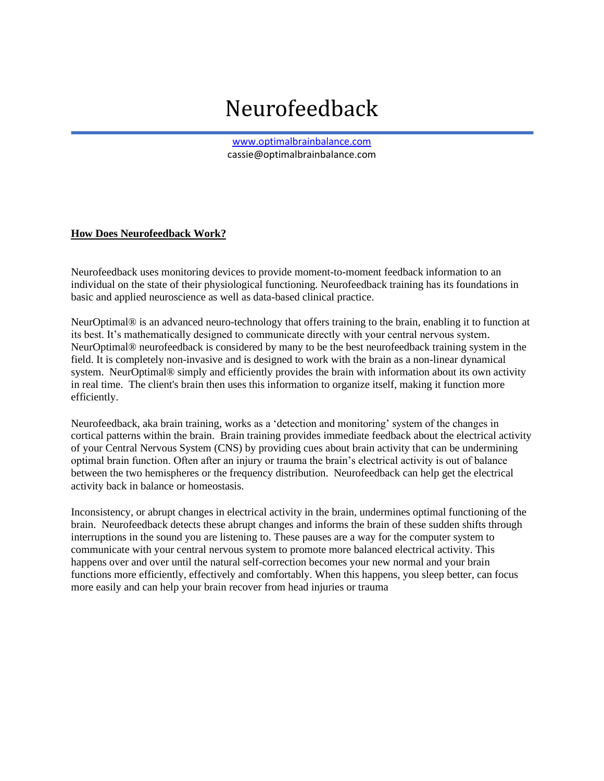# Neurofeedback

[www.optimalbrainbalance.com](http://www.optimalbrainbalance.com/) cassie@optimalbrainbalance.com

## **How Does Neurofeedback Work?**

Neurofeedback uses monitoring devices to provide moment-to-moment feedback information to an individual on the state of their physiological functioning. Neurofeedback training has its foundations in basic and applied neuroscience as well as data-based clinical practice.

NeurOptimal® is an advanced neuro-technology that offers training to the brain, enabling it to function at its best. It's mathematically designed to communicate directly with your central nervous system. NeurOptimal® neurofeedback is considered by many to be the best neurofeedback training system in the field. It is completely non-invasive and is designed to work with the brain as a non-linear dynamical system. NeurOptimal<sup>®</sup> simply and efficiently provides the brain with information about its own activity in real time. The client's brain then uses this information to organize itself, making it function more efficiently.

Neurofeedback, aka brain training, works as a 'detection and monitoring' system of the changes in cortical patterns within the brain. Brain training provides immediate feedback about the electrical activity of your Central Nervous System (CNS) by providing cues about brain activity that can be undermining optimal brain function. Often after an injury or trauma the brain's electrical activity is out of balance between the two hemispheres or the frequency distribution. Neurofeedback can help get the electrical activity back in balance or homeostasis.

Inconsistency, or abrupt changes in electrical activity in the brain, undermines optimal functioning of the brain. Neurofeedback detects these abrupt changes and informs the brain of these sudden shifts through interruptions in the sound you are listening to. These pauses are a way for the computer system to communicate with your central nervous system to promote more balanced electrical activity. This happens over and over until the natural self-correction becomes your new normal and your brain functions more efficiently, effectively and comfortably. When this happens, you sleep better, can focus more easily and can help your brain recover from head injuries or trauma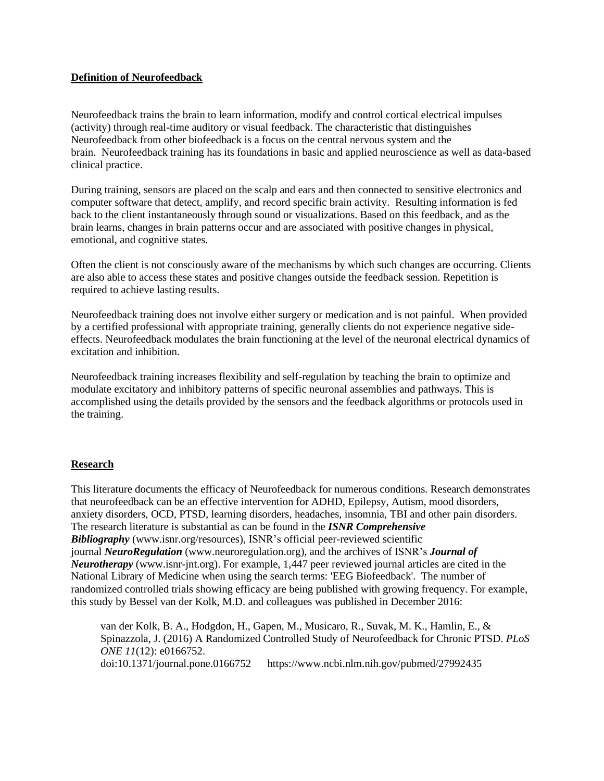## **Definition of Neurofeedback**

Neurofeedback trains the brain to learn information, modify and control cortical electrical impulses (activity) through real-time auditory or visual feedback. The characteristic that distinguishes Neurofeedback from other biofeedback is a focus on the central nervous system and the brain. Neurofeedback training has its foundations in basic and applied neuroscience as well as data-based clinical practice.

During training, sensors are placed on the scalp and ears and then connected to sensitive electronics and computer software that detect, amplify, and record specific brain activity. Resulting information is fed back to the client instantaneously through sound or visualizations. Based on this feedback, and as the brain learns, changes in brain patterns occur and are associated with positive changes in physical, emotional, and cognitive states.

Often the client is not consciously aware of the mechanisms by which such changes are occurring. Clients are also able to access these states and positive changes outside the feedback session. Repetition is required to achieve lasting results.

Neurofeedback training does not involve either surgery or medication and is not painful. When provided by a certified professional with appropriate training, generally clients do not experience negative sideeffects. Neurofeedback modulates the brain functioning at the level of the neuronal electrical dynamics of excitation and inhibition.

Neurofeedback training increases flexibility and self-regulation by teaching the brain to optimize and modulate excitatory and inhibitory patterns of specific neuronal assemblies and pathways. This is accomplished using the details provided by the sensors and the feedback algorithms or protocols used in the training.

# **Research**

This literature documents the efficacy of Neurofeedback for numerous conditions. Research demonstrates that neurofeedback can be an effective intervention for ADHD, Epilepsy, Autism, mood disorders, anxiety disorders, OCD, PTSD, learning disorders, headaches, insomnia, TBI and other pain disorders. The research literature is substantial as can be found in the *ISNR Comprehensive Bibliography* [\(www.isnr.org/resources\)](https://www.isnr.org/resources), ISNR's official peer-reviewed scientific journal *NeuroRegulation* [\(www.neuroregulation.org\)](http://www.neuroregulation.org/), and the archives of ISNR's *Journal of Neurotherapy* [\(www.isnr-jnt.org\)](http://www.isnr-jnt.org/). For example, 1,447 peer reviewed journal articles are cited in the National Library of Medicine when using the search terms: 'EEG Biofeedback'. The number of randomized controlled trials showing efficacy are being published with growing frequency. For example, this study by Bessel van der Kolk, M.D. and colleagues was published in December 2016:

van der Kolk, B. A., Hodgdon, H., Gapen, M., Musicaro, R., Suvak, M. K., Hamlin, E., & Spinazzola, J. (2016) A Randomized Controlled Study of Neurofeedback for Chronic PTSD. *PLoS ONE 11*(12): e0166752. [doi:10.1371/journal.pone.0166752](http://dx.doi.org/10.1371/journal.pone.0166752) <https://www.ncbi.nlm.nih.gov/pubmed/27992435>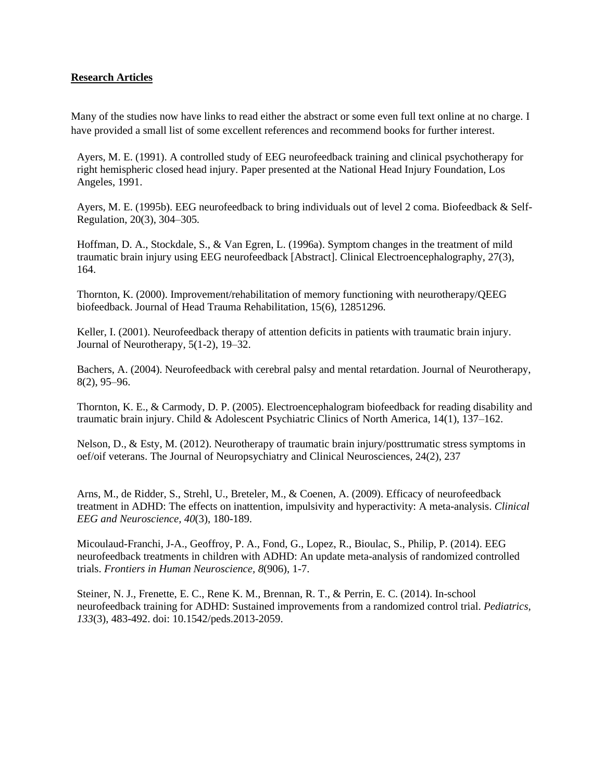### **Research Articles**

Many of the studies now have links to read either the abstract or some even full text online at no charge. I have provided a small list of some excellent references and recommend books for further interest.

Ayers, M. E. (1991). A controlled study of EEG neurofeedback training and clinical psychotherapy for right hemispheric closed head injury. Paper presented at the National Head Injury Foundation, Los Angeles, 1991.

Ayers, M. E. (1995b). EEG neurofeedback to bring individuals out of level 2 coma. Biofeedback & Self-Regulation, 20(3), 304–305.

Hoffman, D. A., Stockdale, S., & Van Egren, L. (1996a). Symptom changes in the treatment of mild traumatic brain injury using EEG neurofeedback [Abstract]. Clinical Electroencephalography, 27(3), 164.

Thornton, K. (2000). Improvement/rehabilitation of memory functioning with neurotherapy/QEEG biofeedback. Journal of Head Trauma Rehabilitation, 15(6), 12851296.

Keller, I. (2001). Neurofeedback therapy of attention deficits in patients with traumatic brain injury. Journal of Neurotherapy, 5(1-2), 19–32.

Bachers, A. (2004). Neurofeedback with cerebral palsy and mental retardation. Journal of Neurotherapy, 8(2), 95–96.

Thornton, K. E., & Carmody, D. P. (2005). Electroencephalogram biofeedback for reading disability and traumatic brain injury. Child & Adolescent Psychiatric Clinics of North America, 14(1), 137–162.

Nelson, D., & Esty, M. (2012). Neurotherapy of traumatic brain injury/posttrumatic stress symptoms in oef/oif veterans. The Journal of Neuropsychiatry and Clinical Neurosciences, 24(2), 237

Arns, M., de Ridder, S., Strehl, U., Breteler, M., & Coenen, A. (2009). Efficacy of neurofeedback treatment in ADHD: The effects on inattention, impulsivity and hyperactivity: A meta-analysis. *Clinical EEG and Neuroscience, 40*(3), 180-189.

Micoulaud-Franchi, J-A., Geoffroy, P. A., Fond, G., Lopez, R., Bioulac, S., Philip, P. (2014). EEG neurofeedback treatments in children with ADHD: An update meta-analysis of randomized controlled trials. *Frontiers in Human Neuroscience, 8*(906), 1-7.

Steiner, N. J., Frenette, E. C., Rene K. M., Brennan, R. T., & Perrin, E. C. (2014). In-school neurofeedback training for ADHD: Sustained improvements from a randomized control trial. *Pediatrics, 133*(3), 483-492. doi: 10.1542/peds.2013-2059.